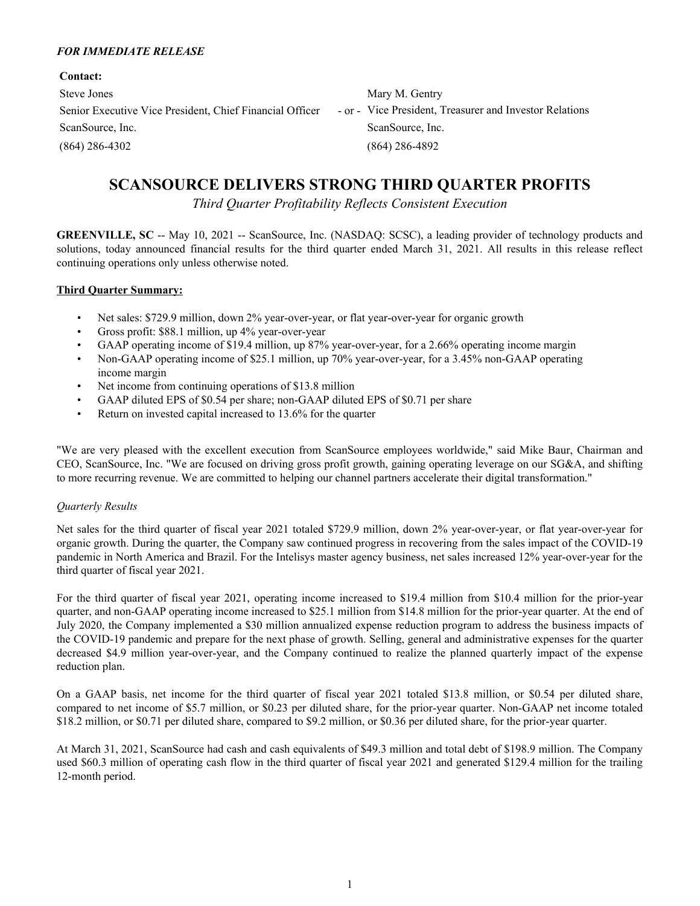#### *FOR IMMEDIATE RELEASE*

| <b>Contact:</b>                                          |                                                         |
|----------------------------------------------------------|---------------------------------------------------------|
| Steve Jones                                              | Mary M. Gentry                                          |
| Senior Executive Vice President, Chief Financial Officer | - or - Vice President, Treasurer and Investor Relations |
| ScanSource, Inc.                                         | ScanSource, Inc.                                        |
| $(864)$ 286-4302                                         | $(864)$ 286-4892                                        |

# **SCANSOURCE DELIVERS STRONG THIRD QUARTER PROFITS**

*Third Quarter Profitability Reflects Consistent Execution*

**GREENVILLE, SC** -- May 10, 2021 -- ScanSource, Inc. (NASDAQ: SCSC), a leading provider of technology products and solutions, today announced financial results for the third quarter ended March 31, 2021. All results in this release reflect continuing operations only unless otherwise noted.

### **Third Quarter Summary:**

- Net sales: \$729.9 million, down 2% year-over-year, or flat year-over-year for organic growth
- Gross profit: \$88.1 million, up 4% year-over-year
- GAAP operating income of \$19.4 million, up 87% year-over-year, for a 2.66% operating income margin
- Non-GAAP operating income of \$25.1 million, up 70% year-over-year, for a 3.45% non-GAAP operating income margin
- Net income from continuing operations of \$13.8 million
- GAAP diluted EPS of \$0.54 per share; non-GAAP diluted EPS of \$0.71 per share
- Return on invested capital increased to 13.6% for the quarter

"We are very pleased with the excellent execution from ScanSource employees worldwide," said Mike Baur, Chairman and CEO, ScanSource, Inc. "We are focused on driving gross profit growth, gaining operating leverage on our SG&A, and shifting to more recurring revenue. We are committed to helping our channel partners accelerate their digital transformation."

### *Quarterly Results*

Net sales for the third quarter of fiscal year 2021 totaled \$729.9 million, down 2% year-over-year, or flat year-over-year for organic growth. During the quarter, the Company saw continued progress in recovering from the sales impact of the COVID-19 pandemic in North America and Brazil. For the Intelisys master agency business, net sales increased 12% year-over-year for the third quarter of fiscal year 2021.

For the third quarter of fiscal year 2021, operating income increased to \$19.4 million from \$10.4 million for the prior-year quarter, and non-GAAP operating income increased to \$25.1 million from \$14.8 million for the prior-year quarter. At the end of July 2020, the Company implemented a \$30 million annualized expense reduction program to address the business impacts of the COVID-19 pandemic and prepare for the next phase of growth. Selling, general and administrative expenses for the quarter decreased \$4.9 million year-over-year, and the Company continued to realize the planned quarterly impact of the expense reduction plan.

On a GAAP basis, net income for the third quarter of fiscal year 2021 totaled \$13.8 million, or \$0.54 per diluted share, compared to net income of \$5.7 million, or \$0.23 per diluted share, for the prior-year quarter. Non-GAAP net income totaled \$18.2 million, or \$0.71 per diluted share, compared to \$9.2 million, or \$0.36 per diluted share, for the prior-year quarter.

At March 31, 2021, ScanSource had cash and cash equivalents of \$49.3 million and total debt of \$198.9 million. The Company used \$60.3 million of operating cash flow in the third quarter of fiscal year 2021 and generated \$129.4 million for the trailing 12-month period.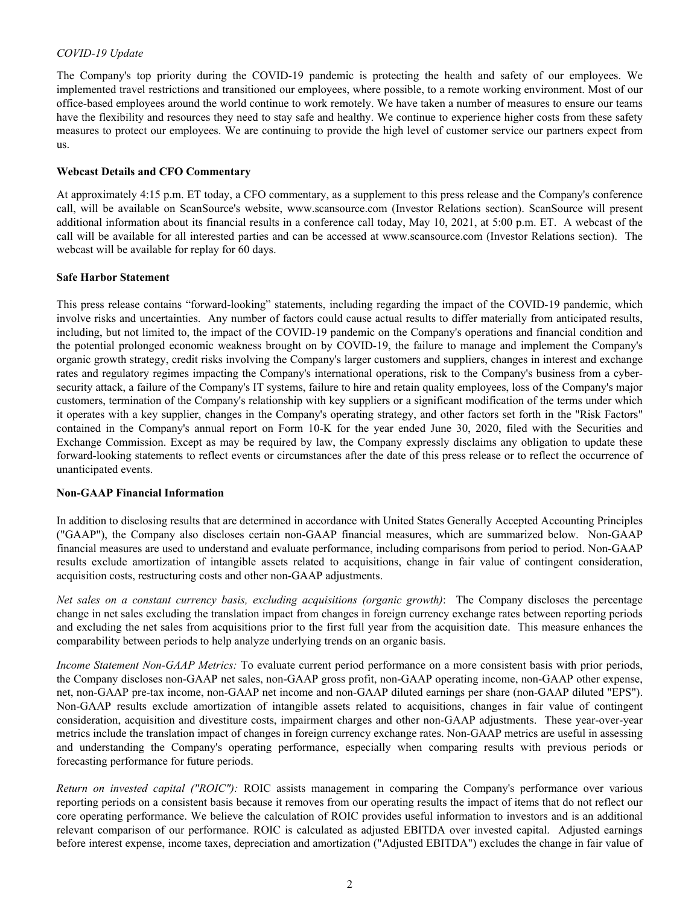#### *COVID-19 Update*

The Company's top priority during the COVID-19 pandemic is protecting the health and safety of our employees. We implemented travel restrictions and transitioned our employees, where possible, to a remote working environment. Most of our office-based employees around the world continue to work remotely. We have taken a number of measures to ensure our teams have the flexibility and resources they need to stay safe and healthy. We continue to experience higher costs from these safety measures to protect our employees. We are continuing to provide the high level of customer service our partners expect from us.

#### **Webcast Details and CFO Commentary**

At approximately 4:15 p.m. ET today, a CFO commentary, as a supplement to this press release and the Company's conference call, will be available on ScanSource's website, www.scansource.com (Investor Relations section). ScanSource will present additional information about its financial results in a conference call today, May 10, 2021, at 5:00 p.m. ET. A webcast of the call will be available for all interested parties and can be accessed at www.scansource.com (Investor Relations section). The webcast will be available for replay for 60 days.

#### **Safe Harbor Statement**

This press release contains "forward-looking" statements, including regarding the impact of the COVID-19 pandemic, which involve risks and uncertainties. Any number of factors could cause actual results to differ materially from anticipated results, including, but not limited to, the impact of the COVID-19 pandemic on the Company's operations and financial condition and the potential prolonged economic weakness brought on by COVID-19, the failure to manage and implement the Company's organic growth strategy, credit risks involving the Company's larger customers and suppliers, changes in interest and exchange rates and regulatory regimes impacting the Company's international operations, risk to the Company's business from a cybersecurity attack, a failure of the Company's IT systems, failure to hire and retain quality employees, loss of the Company's major customers, termination of the Company's relationship with key suppliers or a significant modification of the terms under which it operates with a key supplier, changes in the Company's operating strategy, and other factors set forth in the "Risk Factors" contained in the Company's annual report on Form 10-K for the year ended June 30, 2020, filed with the Securities and Exchange Commission. Except as may be required by law, the Company expressly disclaims any obligation to update these forward-looking statements to reflect events or circumstances after the date of this press release or to reflect the occurrence of unanticipated events.

### **Non-GAAP Financial Information**

In addition to disclosing results that are determined in accordance with United States Generally Accepted Accounting Principles ("GAAP"), the Company also discloses certain non-GAAP financial measures, which are summarized below. Non-GAAP financial measures are used to understand and evaluate performance, including comparisons from period to period. Non-GAAP results exclude amortization of intangible assets related to acquisitions, change in fair value of contingent consideration, acquisition costs, restructuring costs and other non-GAAP adjustments.

*Net sales on a constant currency basis, excluding acquisitions (organic growth)*: The Company discloses the percentage change in net sales excluding the translation impact from changes in foreign currency exchange rates between reporting periods and excluding the net sales from acquisitions prior to the first full year from the acquisition date. This measure enhances the comparability between periods to help analyze underlying trends on an organic basis.

*Income Statement Non-GAAP Metrics:* To evaluate current period performance on a more consistent basis with prior periods, the Company discloses non-GAAP net sales, non-GAAP gross profit, non-GAAP operating income, non-GAAP other expense, net, non-GAAP pre-tax income, non-GAAP net income and non-GAAP diluted earnings per share (non-GAAP diluted "EPS"). Non-GAAP results exclude amortization of intangible assets related to acquisitions, changes in fair value of contingent consideration, acquisition and divestiture costs, impairment charges and other non-GAAP adjustments. These year-over-year metrics include the translation impact of changes in foreign currency exchange rates. Non-GAAP metrics are useful in assessing and understanding the Company's operating performance, especially when comparing results with previous periods or forecasting performance for future periods.

*Return on invested capital ("ROIC"):* ROIC assists management in comparing the Company's performance over various reporting periods on a consistent basis because it removes from our operating results the impact of items that do not reflect our core operating performance. We believe the calculation of ROIC provides useful information to investors and is an additional relevant comparison of our performance. ROIC is calculated as adjusted EBITDA over invested capital. Adjusted earnings before interest expense, income taxes, depreciation and amortization ("Adjusted EBITDA") excludes the change in fair value of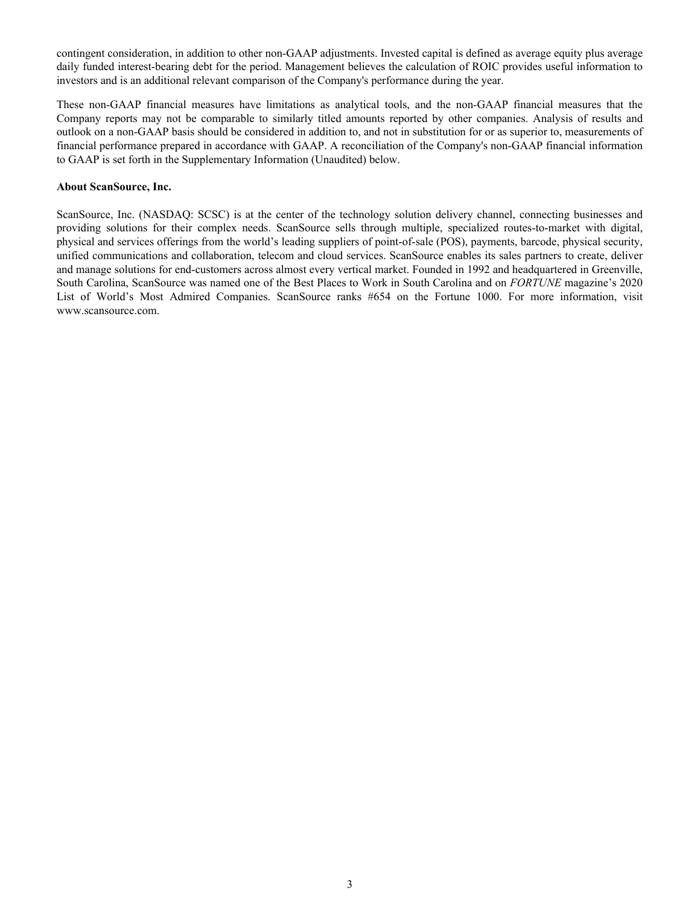contingent consideration, in addition to other non-GAAP adjustments. Invested capital is defined as average equity plus average daily funded interest-bearing debt for the period. Management believes the calculation of ROIC provides useful information to investors and is an additional relevant comparison of the Company's performance during the year.

These non-GAAP financial measures have limitations as analytical tools, and the non-GAAP financial measures that the Company reports may not be comparable to similarly titled amounts reported by other companies. Analysis of results and outlook on a non-GAAP basis should be considered in addition to, and not in substitution for or as superior to, measurements of financial performance prepared in accordance with GAAP. A reconciliation of the Company's non-GAAP financial information to GAAP is set forth in the Supplementary Information (Unaudited) below.

#### **About ScanSource, Inc.**

ScanSource, Inc. (NASDAQ: SCSC) is at the center of the technology solution delivery channel, connecting businesses and providing solutions for their complex needs. ScanSource sells through multiple, specialized routes-to-market with digital, physical and services offerings from the world's leading suppliers of point-of-sale (POS), payments, barcode, physical security, unified communications and collaboration, telecom and cloud services. ScanSource enables its sales partners to create, deliver and manage solutions for end-customers across almost every vertical market. Founded in 1992 and headquartered in Greenville, South Carolina, ScanSource was named one of the Best Places to Work in South Carolina and on *FORTUNE* magazine's 2020 List of World's Most Admired Companies. ScanSource ranks #654 on the Fortune 1000. For more information, visit www.scansource.com.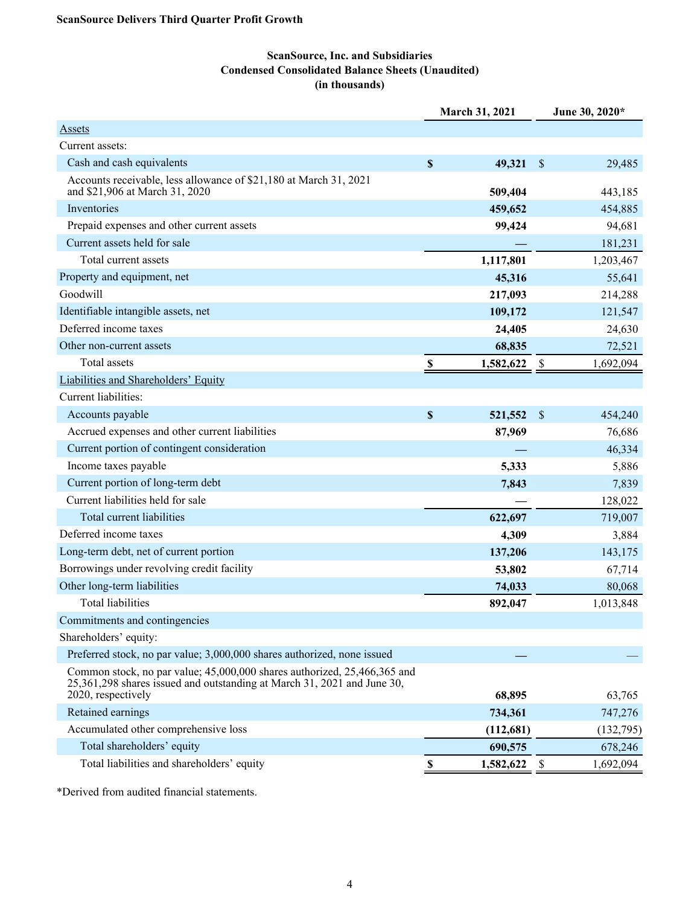## **ScanSource, Inc. and Subsidiaries Condensed Consolidated Balance Sheets (Unaudited) (in thousands)**

|                                                                                                                                                                           |                           | <b>March 31, 2021</b> |                           | June 30, 2020* |
|---------------------------------------------------------------------------------------------------------------------------------------------------------------------------|---------------------------|-----------------------|---------------------------|----------------|
| <b>Assets</b>                                                                                                                                                             |                           |                       |                           |                |
| Current assets:                                                                                                                                                           |                           |                       |                           |                |
| Cash and cash equivalents                                                                                                                                                 | $\mathbf S$               | 49,321                | $\mathcal{S}$             | 29,485         |
| Accounts receivable, less allowance of \$21,180 at March 31, 2021<br>and \$21,906 at March 31, 2020                                                                       |                           | 509,404               |                           | 443,185        |
| Inventories                                                                                                                                                               |                           | 459,652               |                           | 454,885        |
| Prepaid expenses and other current assets                                                                                                                                 |                           | 99,424                |                           | 94,681         |
| Current assets held for sale                                                                                                                                              |                           |                       |                           | 181,231        |
| Total current assets                                                                                                                                                      |                           | 1,117,801             |                           | 1,203,467      |
| Property and equipment, net                                                                                                                                               |                           | 45,316                |                           | 55,641         |
| Goodwill                                                                                                                                                                  |                           | 217,093               |                           | 214,288        |
| Identifiable intangible assets, net                                                                                                                                       |                           | 109,172               |                           | 121,547        |
| Deferred income taxes                                                                                                                                                     |                           | 24,405                |                           | 24,630         |
| Other non-current assets                                                                                                                                                  |                           | 68,835                |                           | 72,521         |
| <b>Total assets</b>                                                                                                                                                       | $\boldsymbol{\mathsf{S}}$ | 1,582,622             | $\boldsymbol{\mathsf{S}}$ | 1,692,094      |
| Liabilities and Shareholders' Equity                                                                                                                                      |                           |                       |                           |                |
| Current liabilities:                                                                                                                                                      |                           |                       |                           |                |
| Accounts payable                                                                                                                                                          | \$                        | 521,552               | $\mathcal{S}$             | 454,240        |
| Accrued expenses and other current liabilities                                                                                                                            |                           | 87,969                |                           | 76,686         |
| Current portion of contingent consideration                                                                                                                               |                           |                       |                           | 46,334         |
| Income taxes payable                                                                                                                                                      |                           | 5,333                 |                           | 5,886          |
| Current portion of long-term debt                                                                                                                                         |                           | 7,843                 |                           | 7,839          |
| Current liabilities held for sale                                                                                                                                         |                           |                       |                           | 128,022        |
| Total current liabilities                                                                                                                                                 |                           | 622,697               |                           | 719,007        |
| Deferred income taxes                                                                                                                                                     |                           | 4,309                 |                           | 3,884          |
| Long-term debt, net of current portion                                                                                                                                    |                           | 137,206               |                           | 143,175        |
| Borrowings under revolving credit facility                                                                                                                                |                           | 53,802                |                           | 67,714         |
| Other long-term liabilities                                                                                                                                               |                           | 74,033                |                           | 80,068         |
| <b>Total liabilities</b>                                                                                                                                                  |                           | 892,047               |                           | 1,013,848      |
| Commitments and contingencies                                                                                                                                             |                           |                       |                           |                |
| Shareholders' equity:                                                                                                                                                     |                           |                       |                           |                |
| Preferred stock, no par value; 3,000,000 shares authorized, none issued                                                                                                   |                           |                       |                           |                |
| Common stock, no par value; 45,000,000 shares authorized, 25,466,365 and<br>25,361,298 shares issued and outstanding at March 31, 2021 and June 30,<br>2020, respectively |                           | 68,895                |                           | 63,765         |
| Retained earnings                                                                                                                                                         |                           | 734,361               |                           | 747,276        |
| Accumulated other comprehensive loss                                                                                                                                      |                           | (112, 681)            |                           | (132,795)      |
| Total shareholders' equity                                                                                                                                                |                           | 690,575               |                           | 678,246        |
| Total liabilities and shareholders' equity                                                                                                                                | \$                        | 1,582,622             | -S                        | 1,692,094      |

\*Derived from audited financial statements.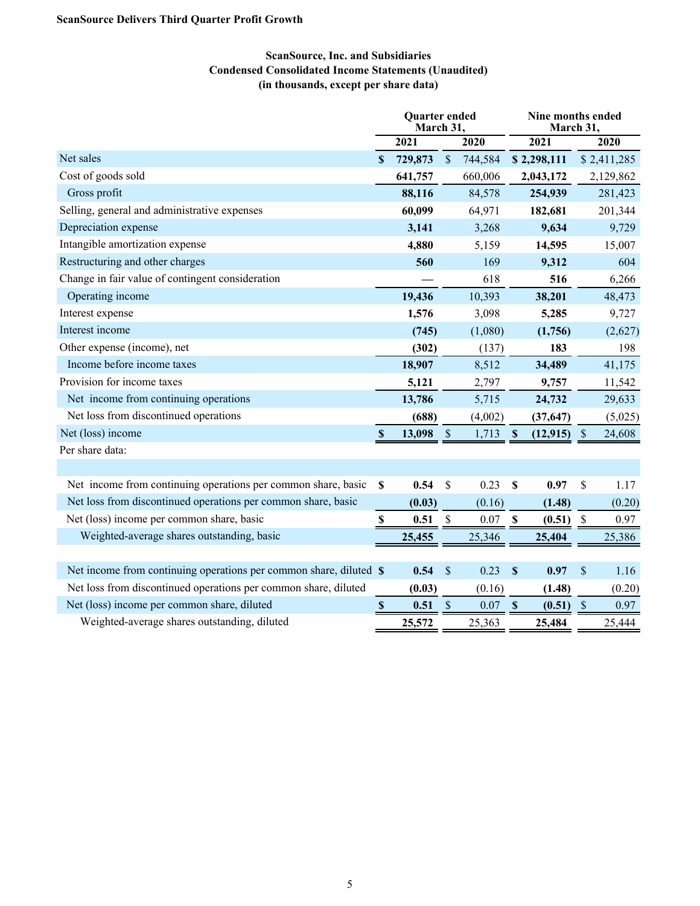## **ScanSource, Inc. and Subsidiaries Condensed Consolidated Income Statements (Unaudited) (in thousands, except per share data)**

|                                                                    |                           | Quarter ended<br>March 31, |                           |         |                           | Nine months ended<br>March 31, |                           |             |
|--------------------------------------------------------------------|---------------------------|----------------------------|---------------------------|---------|---------------------------|--------------------------------|---------------------------|-------------|
|                                                                    |                           | 2021                       |                           | 2020    |                           | 2021                           |                           | 2020        |
| Net sales                                                          | <sup>\$</sup>             | 729,873                    | $\mathcal{S}$             | 744,584 |                           | \$2,298,111                    |                           | \$2,411,285 |
| Cost of goods sold                                                 |                           | 641,757                    |                           | 660,006 |                           | 2,043,172                      |                           | 2,129,862   |
| Gross profit                                                       |                           | 88,116                     |                           | 84,578  |                           | 254,939                        |                           | 281,423     |
| Selling, general and administrative expenses                       |                           | 60,099                     |                           | 64,971  |                           | 182,681                        |                           | 201,344     |
| Depreciation expense                                               |                           | 3,141                      |                           | 3,268   |                           | 9,634                          |                           | 9,729       |
| Intangible amortization expense                                    |                           | 4,880                      |                           | 5,159   |                           | 14,595                         |                           | 15,007      |
| Restructuring and other charges                                    |                           | 560                        |                           | 169     |                           | 9,312                          |                           | 604         |
| Change in fair value of contingent consideration                   |                           |                            |                           | 618     |                           | 516                            |                           | 6,266       |
| Operating income                                                   |                           | 19,436                     |                           | 10,393  |                           | 38,201                         |                           | 48,473      |
| Interest expense                                                   |                           | 1,576                      |                           | 3,098   |                           | 5,285                          |                           | 9,727       |
| Interest income                                                    |                           | (745)                      |                           | (1,080) |                           | (1,756)                        |                           | (2,627)     |
| Other expense (income), net                                        |                           | (302)                      |                           | (137)   |                           | 183                            |                           | 198         |
| Income before income taxes                                         |                           | 18,907                     |                           | 8,512   |                           | 34,489                         |                           | 41,175      |
| Provision for income taxes                                         |                           | 5,121                      |                           | 2,797   |                           | 9,757                          |                           | 11,542      |
| Net income from continuing operations                              |                           | 13,786                     |                           | 5,715   |                           | 24,732                         |                           | 29,633      |
| Net loss from discontinued operations                              |                           | (688)                      |                           | (4,002) |                           | (37, 647)                      |                           | (5,025)     |
| Net (loss) income                                                  | $\boldsymbol{\mathsf{S}}$ | 13,098                     | $\mathbb{S}$              | 1,713   | $\mathbf{\$}$             | (12, 915)                      | $\mathcal{S}$             | 24,608      |
| Per share data:                                                    |                           |                            |                           |         |                           |                                |                           |             |
|                                                                    |                           |                            |                           |         |                           |                                |                           |             |
| Net income from continuing operations per common share, basic      | $\mathbf S$               | 0.54                       | \$                        | 0.23    | \$                        | 0.97                           | \$                        | 1.17        |
| Net loss from discontinued operations per common share, basic      |                           | (0.03)                     |                           | (0.16)  |                           | (1.48)                         |                           | (0.20)      |
| Net (loss) income per common share, basic                          | \$                        | 0.51                       | $\mathcal{S}$             | 0.07    | $\boldsymbol{\mathsf{S}}$ | (0.51)                         | $\mathcal{S}$             | 0.97        |
| Weighted-average shares outstanding, basic                         |                           | 25,455                     |                           | 25,346  |                           | 25,404                         |                           | 25,386      |
|                                                                    |                           |                            |                           |         |                           |                                |                           |             |
| Net income from continuing operations per common share, diluted \$ |                           | 0.54                       | $\boldsymbol{\mathsf{S}}$ | 0.23    | $\boldsymbol{\mathsf{S}}$ | 0.97                           | $\boldsymbol{\mathsf{S}}$ | 1.16        |
| Net loss from discontinued operations per common share, diluted    |                           | (0.03)                     |                           | (0.16)  |                           | (1.48)                         |                           | (0.20)      |
| Net (loss) income per common share, diluted                        | $\boldsymbol{\mathsf{S}}$ | 0.51                       | $\$$                      | 0.07    | $\mathbf S$               | (0.51)                         | $\mathcal{S}$             | 0.97        |
| Weighted-average shares outstanding, diluted                       |                           | 25,572                     |                           | 25,363  |                           | 25,484                         |                           | 25,444      |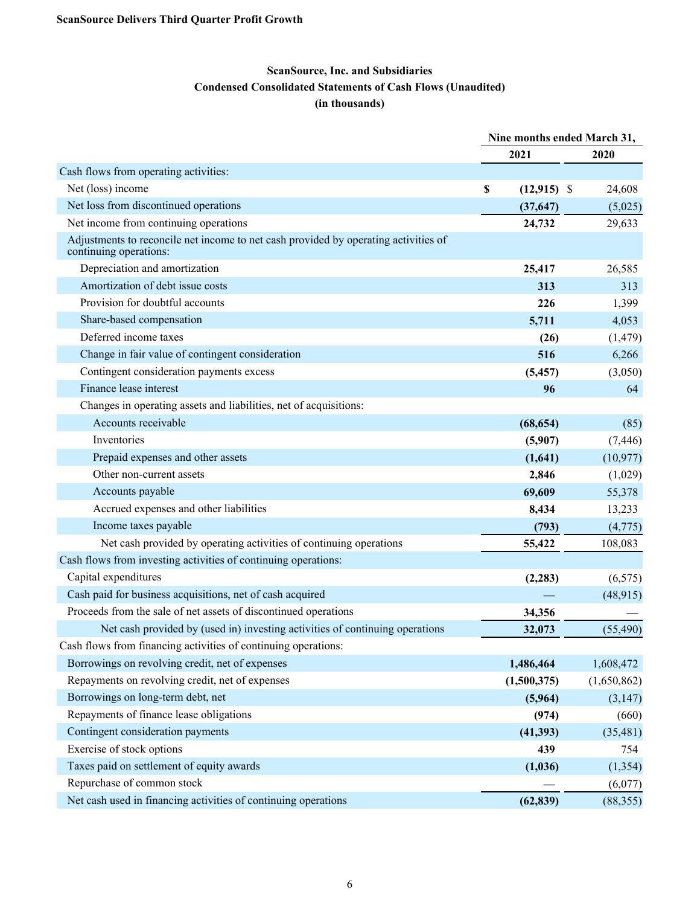# **ScanSource, Inc. and Subsidiaries Condensed Consolidated Statements of Cash Flows (Unaudited) (in thousands)**

|                                                                                                               | Nine months ended March 31, |               |             |
|---------------------------------------------------------------------------------------------------------------|-----------------------------|---------------|-------------|
|                                                                                                               |                             | 2021          | 2020        |
| Cash flows from operating activities:                                                                         |                             |               |             |
| Net (loss) income                                                                                             | \$                          | $(12,915)$ \$ | 24,608      |
| Net loss from discontinued operations                                                                         |                             | (37, 647)     | (5,025)     |
| Net income from continuing operations                                                                         |                             | 24,732        | 29,633      |
| Adjustments to reconcile net income to net cash provided by operating activities of<br>continuing operations: |                             |               |             |
| Depreciation and amortization                                                                                 |                             | 25,417        | 26,585      |
| Amortization of debt issue costs                                                                              |                             | 313           | 313         |
| Provision for doubtful accounts                                                                               |                             | 226           | 1,399       |
| Share-based compensation                                                                                      |                             | 5,711         | 4,053       |
| Deferred income taxes                                                                                         |                             | (26)          | (1, 479)    |
| Change in fair value of contingent consideration                                                              |                             | 516           | 6,266       |
| Contingent consideration payments excess                                                                      |                             | (5, 457)      | (3,050)     |
| Finance lease interest                                                                                        |                             | 96            | 64          |
| Changes in operating assets and liabilities, net of acquisitions:                                             |                             |               |             |
| Accounts receivable                                                                                           |                             | (68, 654)     | (85)        |
| Inventories                                                                                                   |                             | (5,907)       | (7, 446)    |
| Prepaid expenses and other assets                                                                             |                             | (1,641)       | (10, 977)   |
| Other non-current assets                                                                                      |                             | 2,846         | (1,029)     |
| Accounts payable                                                                                              |                             | 69,609        | 55,378      |
| Accrued expenses and other liabilities                                                                        |                             | 8,434         | 13,233      |
| Income taxes payable                                                                                          |                             | (793)         | (4,775)     |
| Net cash provided by operating activities of continuing operations                                            |                             | 55,422        | 108,083     |
| Cash flows from investing activities of continuing operations:                                                |                             |               |             |
| Capital expenditures                                                                                          |                             | (2, 283)      | (6, 575)    |
| Cash paid for business acquisitions, net of cash acquired                                                     |                             |               | (48, 915)   |
| Proceeds from the sale of net assets of discontinued operations                                               |                             | 34,356        |             |
| Net cash provided by (used in) investing activities of continuing operations                                  |                             | 32,073        | (55, 490)   |
| Cash flows from financing activities of continuing operations:                                                |                             |               |             |
| Borrowings on revolving credit, net of expenses                                                               |                             | 1,486,464     | 1,608,472   |
| Repayments on revolving credit, net of expenses                                                               |                             | (1,500,375)   | (1,650,862) |
| Borrowings on long-term debt, net                                                                             |                             | (5,964)       | (3,147)     |
| Repayments of finance lease obligations                                                                       |                             | (974)         | (660)       |
| Contingent consideration payments                                                                             |                             | (41, 393)     | (35, 481)   |
| Exercise of stock options                                                                                     |                             | 439           | 754         |
| Taxes paid on settlement of equity awards                                                                     |                             | (1,036)       | (1, 354)    |
| Repurchase of common stock                                                                                    |                             |               | (6,077)     |
| Net cash used in financing activities of continuing operations                                                |                             | (62, 839)     | (88, 355)   |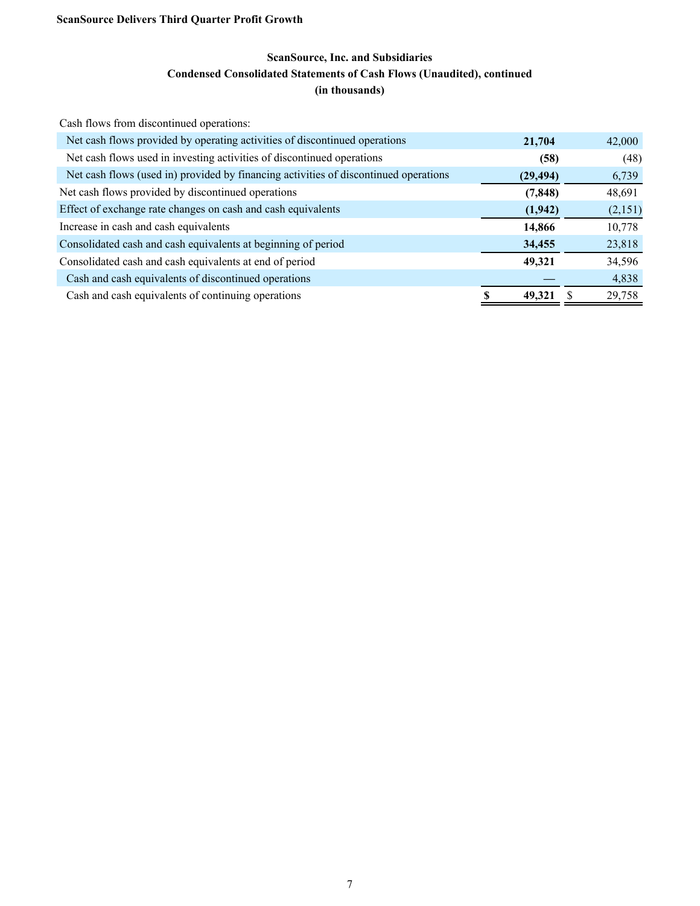# **ScanSource, Inc. and Subsidiaries Condensed Consolidated Statements of Cash Flows (Unaudited), continued (in thousands)**

Cash flows from discontinued operations:

| Net cash flows provided by operating activities of discontinued operations           | 21,704    | 42,000  |
|--------------------------------------------------------------------------------------|-----------|---------|
| Net cash flows used in investing activities of discontinued operations               | (58)      | (48)    |
| Net cash flows (used in) provided by financing activities of discontinued operations | (29, 494) | 6,739   |
| Net cash flows provided by discontinued operations                                   | (7, 848)  | 48,691  |
| Effect of exchange rate changes on cash and cash equivalents                         | (1, 942)  | (2,151) |
| Increase in cash and cash equivalents                                                | 14,866    | 10,778  |
| Consolidated cash and cash equivalents at beginning of period                        | 34,455    | 23,818  |
| Consolidated cash and cash equivalents at end of period                              | 49,321    | 34,596  |
| Cash and cash equivalents of discontinued operations                                 |           | 4,838   |
| Cash and cash equivalents of continuing operations                                   | 49,321    | 29,758  |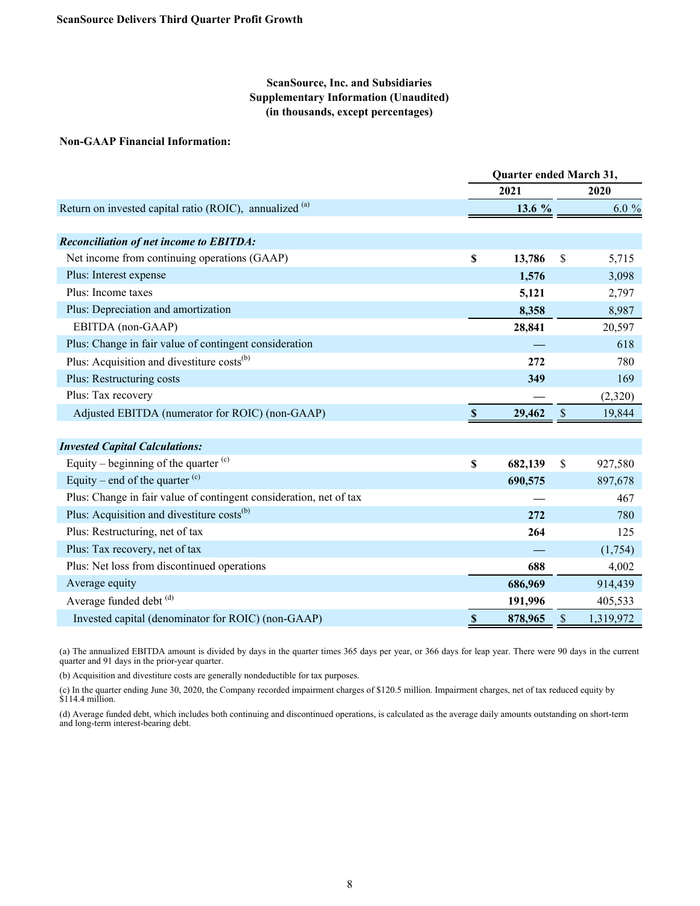### **ScanSource, Inc. and Subsidiaries Supplementary Information (Unaudited) (in thousands, except percentages)**

#### **Non-GAAP Financial Information:**

|                                                                    | Quarter ended March 31, |          |     |          |
|--------------------------------------------------------------------|-------------------------|----------|-----|----------|
|                                                                    |                         | 2021     |     | 2020     |
| Return on invested capital ratio (ROIC), annualized (a)            |                         | 13.6 $%$ |     | $6.0 \%$ |
|                                                                    |                         |          |     |          |
| <b>Reconciliation of net income to EBITDA:</b>                     |                         |          |     |          |
| Net income from continuing operations (GAAP)                       | \$                      | 13,786   | \$  | 5,715    |
| Plus: Interest expense                                             |                         | 1,576    |     | 3,098    |
| Plus: Income taxes                                                 |                         | 5,121    |     | 2,797    |
| Plus: Depreciation and amortization                                |                         | 8,358    |     | 8,987    |
| EBITDA (non-GAAP)                                                  |                         | 28,841   |     | 20,597   |
| Plus: Change in fair value of contingent consideration             |                         |          |     | 618      |
| Plus: Acquisition and divestiture costs <sup>(b)</sup>             |                         | 272      |     | 780      |
| Plus: Restructuring costs                                          |                         | 349      |     | 169      |
| Plus: Tax recovery                                                 |                         |          |     | (2,320)  |
| Adjusted EBITDA (numerator for ROIC) (non-GAAP)                    |                         | 29,462   | S   | 19,844   |
|                                                                    |                         |          |     |          |
| <b>Invested Capital Calculations:</b>                              |                         |          |     |          |
| Equity – beginning of the quarter $(c)$                            | \$                      | 682,139  | \$. | 927,580  |
| Equity – end of the quarter $(c)$                                  |                         | 690,575  |     | 897,678  |
| Plus: Change in fair value of contingent consideration, net of tax |                         |          |     | 467      |
| Plus: Acquisition and divestiture costs <sup>(b)</sup>             |                         | 272      |     | 780      |

| Plus: Restructuring, net of tax                    | 264     | 125       |
|----------------------------------------------------|---------|-----------|
| Plus: Tax recovery, net of tax                     |         | (1,754)   |
| Plus: Net loss from discontinued operations        | 688     | 4,002     |
| Average equity                                     | 686,969 | 914,439   |
| Average funded debt (d)                            | 191.996 | 405,533   |
| Invested capital (denominator for ROIC) (non-GAAP) | 878,965 | 1,319,972 |

(a) The annualized EBITDA amount is divided by days in the quarter times 365 days per year, or 366 days for leap year. There were 90 days in the current quarter and 91 days in the prior-year quarter.

(b) Acquisition and divestiture costs are generally nondeductible for tax purposes.

(c) In the quarter ending June 30, 2020, the Company recorded impairment charges of \$120.5 million. Impairment charges, net of tax reduced equity by  $$114.4$  million.

(d) Average funded debt, which includes both continuing and discontinued operations, is calculated as the average daily amounts outstanding on short-term and long-term interest-bearing debt.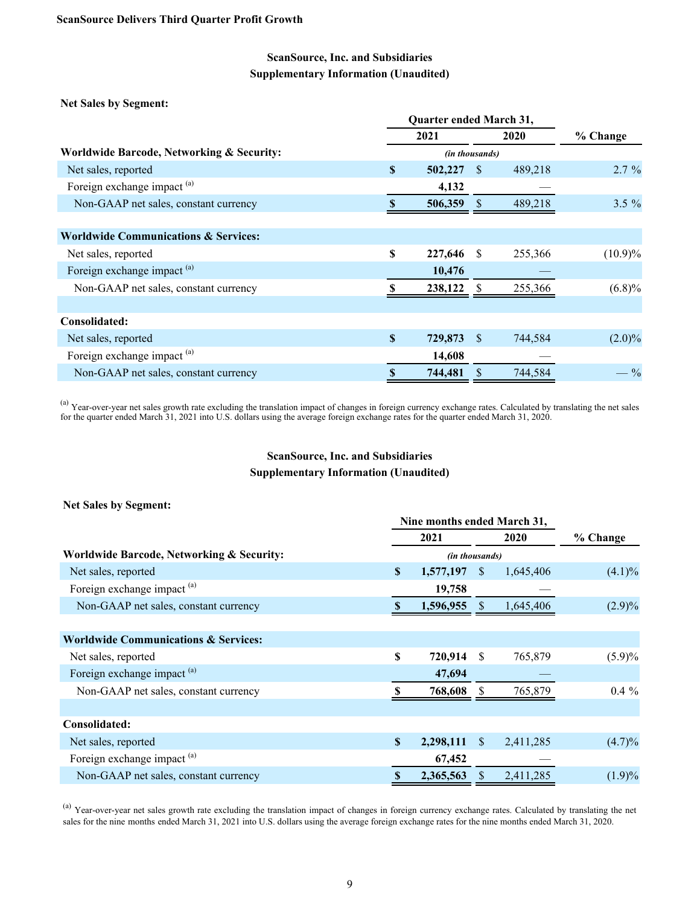## **ScanSource, Inc. and Subsidiaries Supplementary Information (Unaudited)**

**Net Sales by Segment:**

|                                                 |          | 2021           |              | 2020    | % Change   |
|-------------------------------------------------|----------|----------------|--------------|---------|------------|
| Worldwide Barcode, Networking & Security:       |          | (in thousands) |              |         |            |
| Net sales, reported                             | \$       | 502,227        | -S           | 489,218 | $2.7\%$    |
| Foreign exchange impact <sup>(a)</sup>          |          | 4,132          |              |         |            |
| Non-GAAP net sales, constant currency           |          | 506,359        |              | 489,218 | $3.5 \%$   |
|                                                 |          |                |              |         |            |
| <b>Worldwide Communications &amp; Services:</b> |          |                |              |         |            |
| Net sales, reported                             | S        | 227,646        | <sup>S</sup> | 255,366 | $(10.9)\%$ |
| Foreign exchange impact <sup>(a)</sup>          |          | 10,476         |              |         |            |
| Non-GAAP net sales, constant currency           |          | 238,122        |              | 255,366 | $(6.8)\%$  |
|                                                 |          |                |              |         |            |
| Consolidated:                                   |          |                |              |         |            |
| Net sales, reported                             | <b>S</b> | 729,873        | <sup>S</sup> | 744,584 | $(2.0)\%$  |
| Foreign exchange impact <sup>(a)</sup>          |          | 14,608         |              |         |            |
| Non-GAAP net sales, constant currency           | \$       | 744,481        |              | 744,584 | $-$ %      |

<sup>(a)</sup> Year-over-year net sales growth rate excluding the translation impact of changes in foreign currency exchange rates. Calculated by translating the net sales for the quarter ended March 31, 2021 into U.S. dollars using the average foreign exchange rates for the quarter ended March 31, 2020.

## **ScanSource, Inc. and Subsidiaries Supplementary Information (Unaudited)**

#### **Net Sales by Segment:**

|                                                      |    | Nine months ended March 31, |              |           |           |  |  |  |  |
|------------------------------------------------------|----|-----------------------------|--------------|-----------|-----------|--|--|--|--|
|                                                      |    | 2021                        |              | 2020      | % Change  |  |  |  |  |
| <b>Worldwide Barcode, Networking &amp; Security:</b> |    | (in thousands)              |              |           |           |  |  |  |  |
| Net sales, reported                                  | \$ | 1,577,197                   | <sup>S</sup> | 1,645,406 | $(4.1)\%$ |  |  |  |  |
| Foreign exchange impact <sup>(a)</sup>               |    | 19,758                      |              |           |           |  |  |  |  |
| Non-GAAP net sales, constant currency                |    | 1,596,955                   |              | 1,645,406 | $(2.9)\%$ |  |  |  |  |
|                                                      |    |                             |              |           |           |  |  |  |  |
| <b>Worldwide Communications &amp; Services:</b>      |    |                             |              |           |           |  |  |  |  |
| Net sales, reported                                  | \$ | 720,914                     | S            | 765,879   | $(5.9)\%$ |  |  |  |  |
| Foreign exchange impact <sup>(a)</sup>               |    | 47,694                      |              |           |           |  |  |  |  |
| Non-GAAP net sales, constant currency                |    | 768,608                     |              | 765,879   | $0.4\%$   |  |  |  |  |
|                                                      |    |                             |              |           |           |  |  |  |  |
| Consolidated:                                        |    |                             |              |           |           |  |  |  |  |
| Net sales, reported                                  | \$ | 2,298,111                   | <sup>S</sup> | 2,411,285 | $(4.7)\%$ |  |  |  |  |
| Foreign exchange impact <sup>(a)</sup>               |    | 67,452                      |              |           |           |  |  |  |  |
| Non-GAAP net sales, constant currency                | S  | 2,365,563                   | S            | 2,411,285 | $(1.9)\%$ |  |  |  |  |

(a) Year-over-year net sales growth rate excluding the translation impact of changes in foreign currency exchange rates. Calculated by translating the net sales for the nine months ended March 31, 2021 into U.S. dollars using the average foreign exchange rates for the nine months ended March 31, 2020.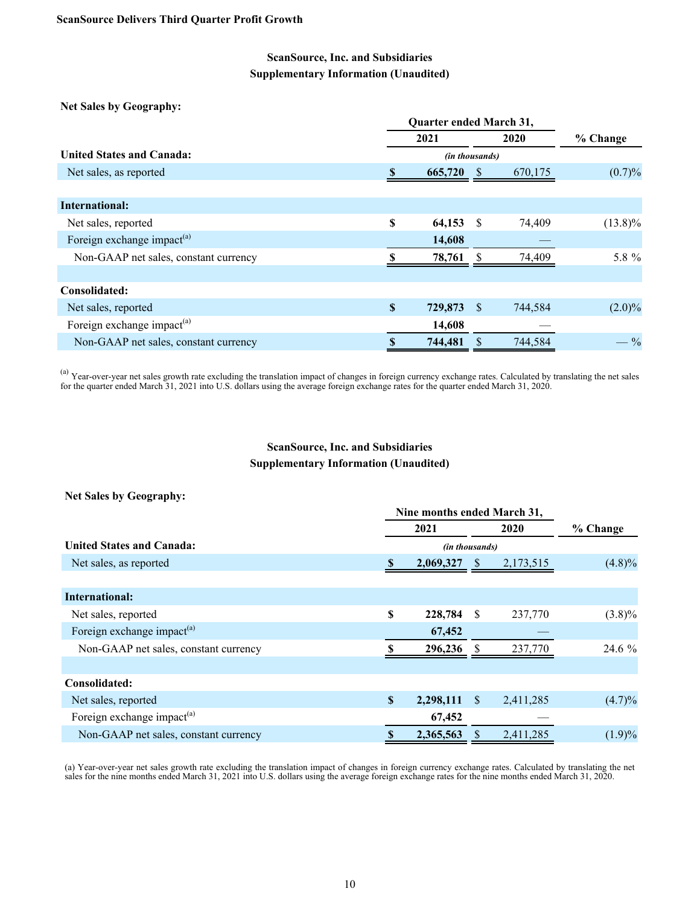## **ScanSource, Inc. and Subsidiaries Supplementary Information (Unaudited)**

**Net Sales by Geography:**

|                                        |             | <b>Quarter ended March 31,</b> |              |         |                 |  |  |  |  |
|----------------------------------------|-------------|--------------------------------|--------------|---------|-----------------|--|--|--|--|
|                                        |             | 2021                           |              | 2020    | % Change        |  |  |  |  |
| United States and Canada:              |             | (in thousands)                 |              |         |                 |  |  |  |  |
| Net sales, as reported                 |             | 665,720                        | <sup>8</sup> | 670,175 | $(0.7)\%$       |  |  |  |  |
|                                        |             |                                |              |         |                 |  |  |  |  |
| International:                         |             |                                |              |         |                 |  |  |  |  |
| Net sales, reported                    | S           | 64,153                         | - S          | 74,409  | $(13.8)\%$      |  |  |  |  |
| Foreign exchange impact <sup>(a)</sup> |             | 14,608                         |              |         |                 |  |  |  |  |
| Non-GAAP net sales, constant currency  |             | 78,761                         |              | 74,409  | 5.8 %           |  |  |  |  |
|                                        |             |                                |              |         |                 |  |  |  |  |
| Consolidated:                          |             |                                |              |         |                 |  |  |  |  |
| Net sales, reported                    | $\mathbf S$ | 729,873                        | -S           | 744,584 | $(2.0)\%$       |  |  |  |  |
| Foreign exchange impact <sup>(a)</sup> |             | 14,608                         |              |         |                 |  |  |  |  |
| Non-GAAP net sales, constant currency  | S           | 744,481                        |              | 744,584 | $- \frac{9}{6}$ |  |  |  |  |

<sup>(a)</sup> Year-over-year net sales growth rate excluding the translation impact of changes in foreign currency exchange rates. Calculated by translating the net sales for the quarter ended March 31, 2021 into U.S. dollars using the average foreign exchange rates for the quarter ended March 31, 2020.

# **ScanSource, Inc. and Subsidiaries Supplementary Information (Unaudited)**

#### **Net Sales by Geography:**

|                                        | Nine months ended March 31, |                |              |           |           |
|----------------------------------------|-----------------------------|----------------|--------------|-----------|-----------|
|                                        |                             | 2021           |              | 2020      | % Change  |
| <b>United States and Canada:</b>       |                             | (in thousands) |              |           |           |
| Net sales, as reported                 | <sup>\$</sup>               | 2,069,327      | <sup>S</sup> | 2,173,515 | (4.8)%    |
|                                        |                             |                |              |           |           |
| International:                         |                             |                |              |           |           |
| Net sales, reported                    | $\mathbf S$                 | 228,784        | <sup>S</sup> | 237,770   | $(3.8)\%$ |
| Foreign exchange impact <sup>(a)</sup> |                             | 67,452         |              |           |           |
| Non-GAAP net sales, constant currency  |                             | 296,236        |              | 237,770   | $24.6\%$  |
|                                        |                             |                |              |           |           |
| Consolidated:                          |                             |                |              |           |           |
| Net sales, reported                    | $\mathbf S$                 | 2,298,111      | <sup>S</sup> | 2,411,285 | $(4.7)\%$ |
| Foreign exchange impact <sup>(a)</sup> |                             | 67,452         |              |           |           |
| Non-GAAP net sales, constant currency  |                             | 2,365,563      |              | 2,411,285 | $(1.9)\%$ |

(a) Year-over-year net sales growth rate excluding the translation impact of changes in foreign currency exchange rates. Calculated by translating the net sales for the nine months ended March 31, 2021 into U.S. dollars using the average foreign exchange rates for the nine months ended March 31, 2020.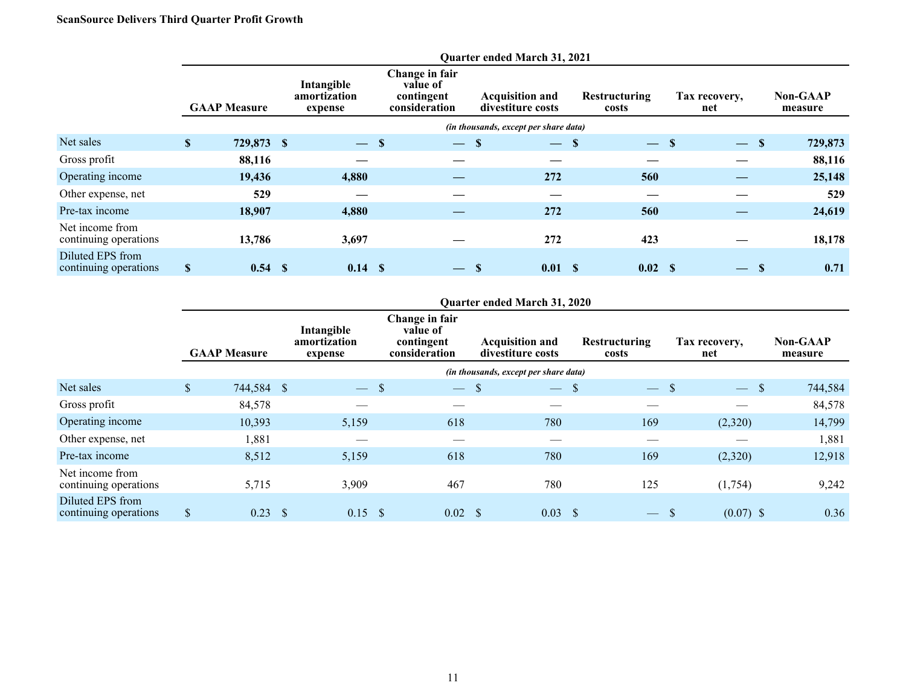## **ScanSource Delivers Third Quarter Profit Growth**

|                                           |                     | <b>Quarter ended March 31, 2021</b> |    |       |  |                                       |      |                                                           |              |                                             |  |                               |    |                      |  |                            |
|-------------------------------------------|---------------------|-------------------------------------|----|-------|--|---------------------------------------|------|-----------------------------------------------------------|--------------|---------------------------------------------|--|-------------------------------|----|----------------------|--|----------------------------|
|                                           | <b>GAAP Measure</b> |                                     |    |       |  | Intangible<br>amortization<br>expense |      | Change in fair<br>value of<br>contingent<br>consideration |              | <b>Acquisition and</b><br>divestiture costs |  | <b>Restructuring</b><br>costs |    | Tax recovery,<br>net |  | <b>Non-GAAP</b><br>measure |
|                                           |                     |                                     |    |       |  |                                       |      | (in thousands, except per share data)                     |              |                                             |  |                               |    |                      |  |                            |
| Net sales                                 | $\mathbb{S}$        | 729,873 \$                          |    | $-$ S |  | $-$ \$                                |      | $-$ \$                                                    |              | $-$ S                                       |  | $\overline{\phantom{m}}$      | -S | 729,873              |  |                            |
| Gross profit                              |                     | 88,116                              |    |       |  |                                       |      |                                                           |              |                                             |  |                               |    | 88,116               |  |                            |
| Operating income                          |                     | 19,436                              |    | 4,880 |  |                                       |      | 272                                                       |              | 560                                         |  |                               |    | 25,148               |  |                            |
| Other expense, net                        |                     | 529                                 |    |       |  |                                       |      |                                                           |              |                                             |  |                               |    | 529                  |  |                            |
| Pre-tax income                            |                     | 18,907                              |    | 4,880 |  |                                       |      | 272                                                       |              | 560                                         |  |                               |    | 24,619               |  |                            |
| Net income from<br>continuing operations  |                     | 13,786                              |    | 3,697 |  |                                       |      | 272                                                       |              | 423                                         |  |                               |    | 18,178               |  |                            |
| Diluted EPS from<br>continuing operations | $\mathbf S$         | 0.54                                | -S | 0.14S |  |                                       | - \$ | 0.01                                                      | $\mathbf{s}$ | 0.02 S                                      |  | $\overline{\phantom{0}}$      | -S | 0.71                 |  |                            |

## **Quarter ended March 31, 2020**

|                                           |                           | <b>GAAP Measure</b> | Intangible<br>amortization<br>expense |                                  | Change in fair<br>value of<br>contingent<br>consideration | <b>Acquisition and</b><br>divestiture costs | <b>Restructuring</b><br>costs | Tax recovery,<br>net                      | <b>Non-GAAP</b><br>measure |
|-------------------------------------------|---------------------------|---------------------|---------------------------------------|----------------------------------|-----------------------------------------------------------|---------------------------------------------|-------------------------------|-------------------------------------------|----------------------------|
|                                           |                           |                     |                                       |                                  |                                                           | (in thousands, except per share data)       |                               |                                           |                            |
| Net sales                                 | $\boldsymbol{\mathsf{S}}$ | 744,584 \$          |                                       | - \$<br>$\overline{\phantom{m}}$ | $-$ \$                                                    | $-$ \$                                      | $\frac{1}{2}$                 | <sup>\$</sup><br>$\overline{\phantom{a}}$ | 744,584<br>-\$             |
| Gross profit                              |                           | 84,578              |                                       |                                  |                                                           |                                             |                               |                                           | 84,578                     |
| Operating income                          |                           | 10,393              | 5,159                                 |                                  | 618                                                       | 780                                         | 169                           | (2,320)                                   | 14,799                     |
| Other expense, net                        |                           | 1,881               |                                       |                                  |                                                           |                                             |                               |                                           | 1,881                      |
| Pre-tax income                            |                           | 8,512               | 5,159                                 |                                  | 618                                                       | 780                                         | 169                           | (2,320)                                   | 12,918                     |
| Net income from<br>continuing operations  |                           | 5,715               | 3,909                                 |                                  | 467                                                       | 780                                         | 125                           | (1,754)                                   | 9,242                      |
| Diluted EPS from<br>continuing operations | $\boldsymbol{\mathsf{S}}$ | 0.23                | 0.15<br><sup>\$</sup>                 | <b>S</b>                         | $0.02 \quad$ \$                                           | 0.03                                        | $\frac{1}{2}$                 | $(0.07)$ \$                               | 0.36                       |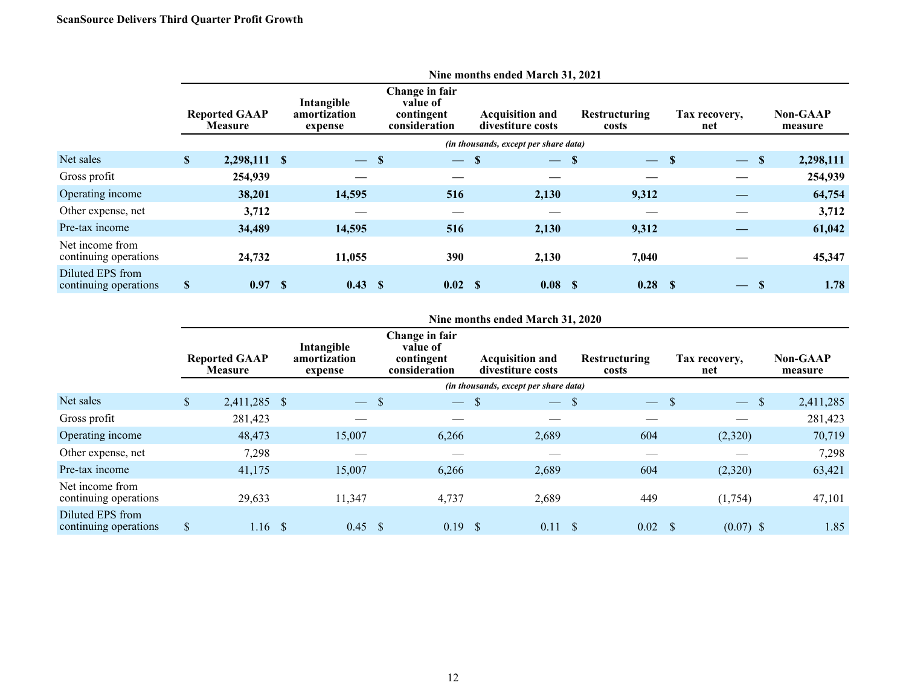|                                           | THE HOLDS CHUCU MATCH $31, 2021$       |              |                                       |        |                                                           |                          |                                             |                                       |                               |        |                      |                          |                            |           |
|-------------------------------------------|----------------------------------------|--------------|---------------------------------------|--------|-----------------------------------------------------------|--------------------------|---------------------------------------------|---------------------------------------|-------------------------------|--------|----------------------|--------------------------|----------------------------|-----------|
|                                           | <b>Reported GAAP</b><br><b>Measure</b> |              | Intangible<br>amortization<br>expense |        | Change in fair<br>value of<br>contingent<br>consideration |                          | <b>Acquisition and</b><br>divestiture costs |                                       | <b>Restructuring</b><br>costs |        | Tax recovery,<br>net |                          | <b>Non-GAAP</b><br>measure |           |
|                                           |                                        |              |                                       |        |                                                           |                          |                                             | (in thousands, except per share data) |                               |        |                      |                          |                            |           |
| Net sales                                 | $\mathbf S$                            | 2,298,111 \$ |                                       | $-$ \$ |                                                           | $\overline{\phantom{m}}$ | -S                                          | $-$ \$                                |                               | $-$ \$ |                      | $\overline{\phantom{m}}$ | <sup>\$</sup>              | 2,298,111 |
| Gross profit                              |                                        | 254,939      |                                       |        |                                                           |                          |                                             |                                       |                               |        |                      |                          |                            | 254,939   |
| Operating income                          |                                        | 38,201       |                                       | 14,595 |                                                           | 516                      |                                             | 2,130                                 |                               | 9,312  |                      |                          |                            | 64,754    |
| Other expense, net                        |                                        | 3,712        |                                       |        |                                                           |                          |                                             |                                       |                               |        |                      |                          |                            | 3,712     |
| Pre-tax income                            |                                        | 34,489       |                                       | 14,595 |                                                           | 516                      |                                             | 2,130                                 |                               | 9,312  |                      |                          |                            | 61,042    |
| Net income from<br>continuing operations  |                                        | 24,732       |                                       | 11,055 |                                                           | 390                      |                                             | 2,130                                 |                               | 7,040  |                      |                          |                            | 45,347    |
| Diluted EPS from<br>continuing operations | \$                                     | 0.97         | -S                                    | 0.43   | - \$                                                      | 0.02 S                   |                                             | 0.08 <sub>5</sub>                     |                               | 0.28 S |                      | $\overline{\phantom{m}}$ | <b>S</b>                   | 1.78      |

**Nine months ended March 31, 2021**

### **Nine months ended March 31, 2020**

|                                           |                           | <b>Reported GAAP</b><br><b>Measure</b> |     | Intangible<br>amortization<br>expense |             | Change in fair<br>value of<br>contingent<br>consideration |      | <b>Acquisition and</b><br>divestiture costs | <b>Restructuring</b><br>costs |   | Tax recovery,<br>net |                           | <b>Non-GAAP</b><br>measure |
|-------------------------------------------|---------------------------|----------------------------------------|-----|---------------------------------------|-------------|-----------------------------------------------------------|------|---------------------------------------------|-------------------------------|---|----------------------|---------------------------|----------------------------|
|                                           |                           |                                        |     |                                       |             |                                                           |      | (in thousands, except per share data)       |                               |   |                      |                           |                            |
| Net sales                                 | $\mathbb{S}$              | 2,411,285 \$                           |     | $\frac{1}{2}$                         | $\mathbf S$ | $\overline{\phantom{a}}$                                  | - \$ | $-5$                                        | $\frac{1}{2}$                 | S | $\hspace{0.05cm}$    | $\boldsymbol{\mathsf{S}}$ | 2,411,285                  |
| Gross profit                              |                           | 281,423                                |     |                                       |             |                                                           |      |                                             |                               |   |                      |                           | 281,423                    |
| Operating income                          |                           | 48,473                                 |     | 15,007                                |             | 6,266                                                     |      | 2,689                                       | 604                           |   | (2,320)              |                           | 70,719                     |
| Other expense, net                        |                           | 7,298                                  |     |                                       |             |                                                           |      |                                             |                               |   |                      |                           | 7,298                      |
| Pre-tax income                            |                           | 41,175                                 |     | 15,007                                |             | 6,266                                                     |      | 2,689                                       | 604                           |   | (2,320)              |                           | 63,421                     |
| Net income from<br>continuing operations  |                           | 29,633                                 |     | 11,347                                |             | 4,737                                                     |      | 2,689                                       | 449                           |   | (1,754)              |                           | 47,101                     |
| Diluted EPS from<br>continuing operations | $\boldsymbol{\mathsf{S}}$ | 1.16                                   | -\$ | 0.45                                  |             | 0.19                                                      |      | 0.11                                        | 0.02                          |   | $(0.07)$ \$          |                           | 1.85                       |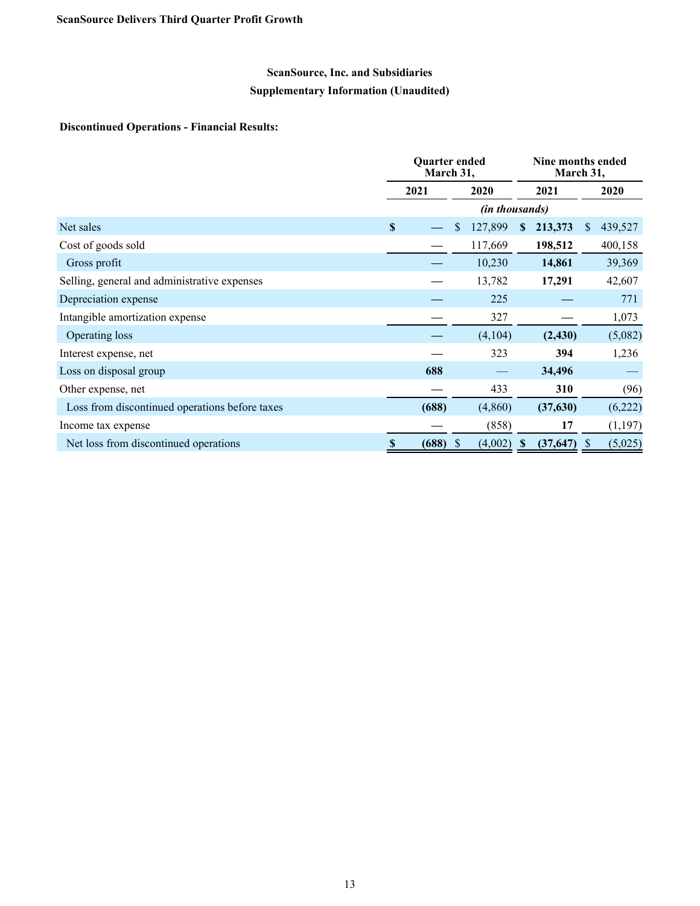# **ScanSource, Inc. and Subsidiaries**

# **Supplementary Information (Unaudited)**

## **Discontinued Operations - Financial Results:**

|                                                |             | <b>Ouarter ended</b><br>March 31, |                          |                          | Nine months ended<br>March 31, |
|------------------------------------------------|-------------|-----------------------------------|--------------------------|--------------------------|--------------------------------|
|                                                |             | 2021                              | 2020                     | 2021                     | 2020                           |
|                                                |             |                                   |                          | (in thousands)           |                                |
| Net sales                                      | $\mathbf S$ |                                   | 127,899<br>\$            | 213,373<br><sup>\$</sup> | S<br>439,527                   |
| Cost of goods sold                             |             |                                   | 117,669                  | 198,512                  | 400,158                        |
| Gross profit                                   |             |                                   | 10,230                   | 14,861                   | 39,369                         |
| Selling, general and administrative expenses   |             |                                   | 13,782                   | 17,291                   | 42,607                         |
| Depreciation expense                           |             |                                   | 225                      |                          | 771                            |
| Intangible amortization expense                |             |                                   | 327                      |                          | 1,073                          |
| Operating loss                                 |             |                                   | (4,104)                  | (2, 430)                 | (5,082)                        |
| Interest expense, net                          |             |                                   | 323                      | 394                      | 1,236                          |
| Loss on disposal group                         |             | 688                               |                          | 34,496                   |                                |
| Other expense, net                             |             |                                   | 433                      | 310                      | (96)                           |
| Loss from discontinued operations before taxes |             | (688)                             | (4,860)                  | (37,630)                 | (6,222)                        |
| Income tax expense                             |             |                                   | (858)                    | 17                       | (1,197)                        |
| Net loss from discontinued operations          | \$          | (688)                             | (4,002)<br><sup>\$</sup> | (37, 647)<br>S           | (5,025)<br><sup>S</sup>        |